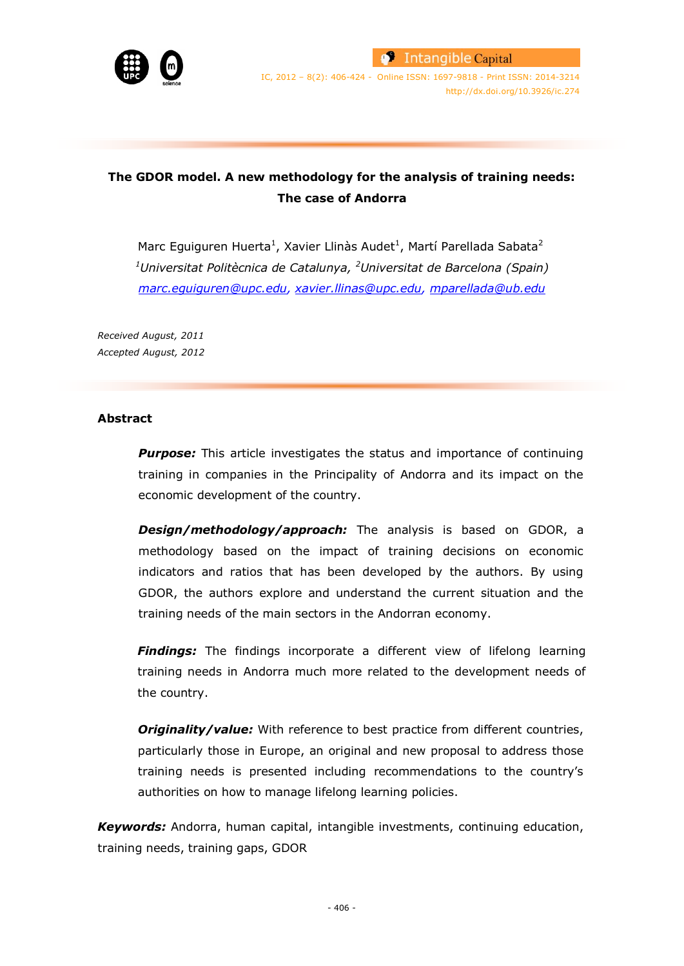

IC, 2012 – 8(2): 406-424 - Online ISSN: 1697-9818 - Print ISSN: 2014-3214 http://dx.doi.org/10.3926/ic.274

# **The GDOR model. A new methodology for the analysis of training needs: The case of Andorra**

Marc Eguiguren Huerta<sup>1</sup>, Xavier Llinàs Audet<sup>1</sup>, Martí Parellada Sabata<sup>2</sup> *<sup>1</sup>Universitat Politècnica de Catalunya, <sup>2</sup>Universitat de Barcelona (Spain) marc.eguiguren@upc.edu, [xavier.llinas@upc.edu,](mailto:xavier.llinas@upc.edu) [mparellada@ub.edu](mailto:mparellada@ub.edu)*

*Received August, 2011 Accepted August, 2012*

## **Abstract**

**Purpose:** This article investigates the status and importance of continuing training in companies in the Principality of Andorra and its impact on the economic development of the country.

*Design/methodology/approach:* The analysis is based on GDOR, a methodology based on the impact of training decisions on economic indicators and ratios that has been developed by the authors. By using GDOR, the authors explore and understand the current situation and the training needs of the main sectors in the Andorran economy.

**Findings:** The findings incorporate a different view of lifelong learning training needs in Andorra much more related to the development needs of the country.

**Originality/value:** With reference to best practice from different countries, particularly those in Europe, an original and new proposal to address those training needs is presented including recommendations to the country's authorities on how to manage lifelong learning policies.

*Keywords:* Andorra, human capital, intangible investments, continuing education, training needs, training gaps, GDOR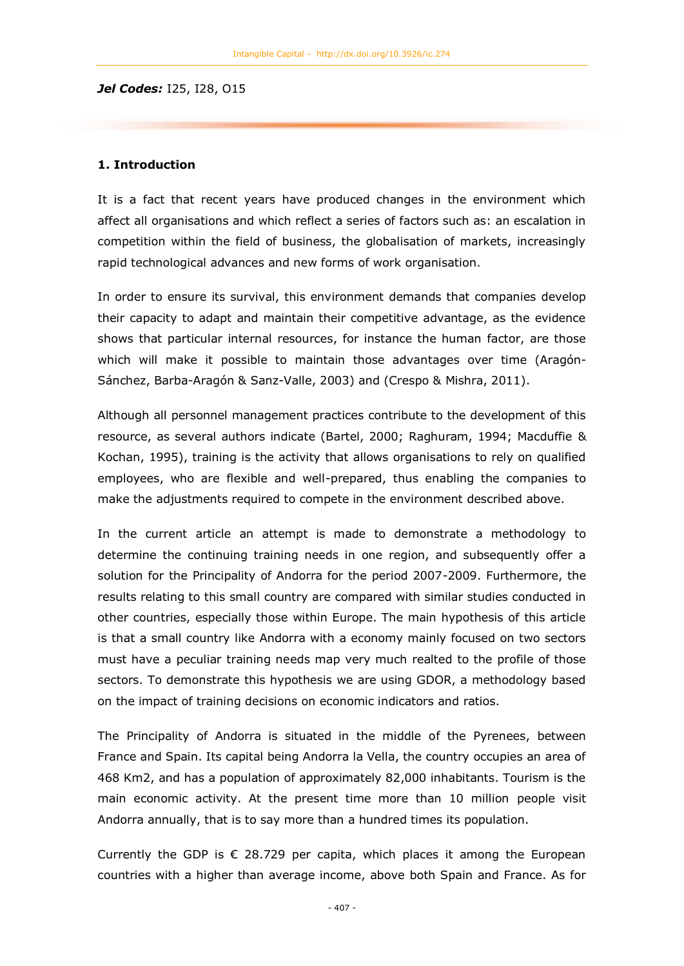*Jel Codes:* I25, I28, O15

## **1. Introduction**

It is a fact that recent years have produced changes in the environment which affect all organisations and which reflect a series of factors such as: an escalation in competition within the field of business, the globalisation of markets, increasingly rapid technological advances and new forms of work organisation.

In order to ensure its survival, this environment demands that companies develop their capacity to adapt and maintain their competitive advantage, as the evidence shows that particular internal resources, for instance the human factor, are those which will make it possible to maintain those advantages over time (Aragón-Sánchez, Barba-Aragón & Sanz-Valle, 2003) and (Crespo & Mishra, 2011).

Although all personnel management practices contribute to the development of this resource, as several authors indicate (Bartel, 2000; Raghuram, 1994; Macduffie & Kochan, 1995), training is the activity that allows organisations to rely on qualified employees, who are flexible and well-prepared, thus enabling the companies to make the adjustments required to compete in the environment described above.

In the current article an attempt is made to demonstrate a methodology to determine the continuing training needs in one region, and subsequently offer a solution for the Principality of Andorra for the period 2007-2009. Furthermore, the results relating to this small country are compared with similar studies conducted in other countries, especially those within Europe. The main hypothesis of this article is that a small country like Andorra with a economy mainly focused on two sectors must have a peculiar training needs map very much realted to the profile of those sectors. To demonstrate this hypothesis we are using GDOR, a methodology based on the impact of training decisions on economic indicators and ratios.

The Principality of Andorra is situated in the middle of the Pyrenees, between France and Spain. Its capital being Andorra la Vella, the country occupies an area of 468 Km2, and has a population of approximately 82,000 inhabitants. Tourism is the main economic activity. At the present time more than 10 million people visit Andorra annually, that is to say more than a hundred times its population.

Currently the GDP is  $\epsilon$  28.729 per capita, which places it among the European countries with a higher than average income, above both Spain and France. As for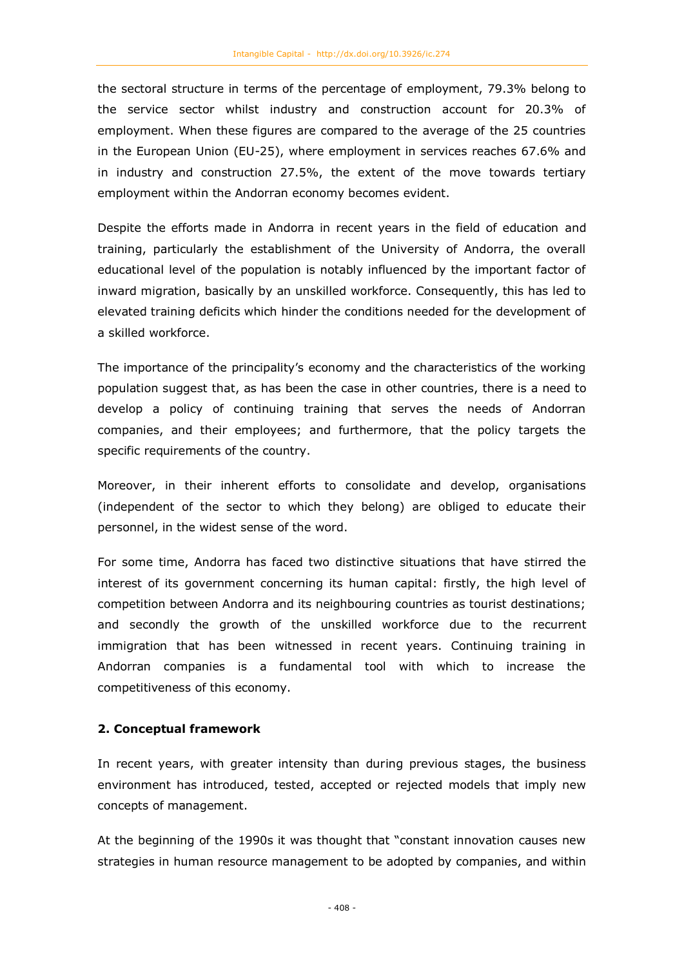the sectoral structure in terms of the percentage of employment, 79.3% belong to the service sector whilst industry and construction account for 20.3% of employment. When these figures are compared to the average of the 25 countries in the European Union (EU-25), where employment in services reaches 67.6% and in industry and construction 27.5%, the extent of the move towards tertiary employment within the Andorran economy becomes evident.

Despite the efforts made in Andorra in recent years in the field of education and training, particularly the establishment of the University of Andorra, the overall educational level of the population is notably influenced by the important factor of inward migration, basically by an unskilled workforce. Consequently, this has led to elevated training deficits which hinder the conditions needed for the development of a skilled workforce.

The importance of the principality's economy and the characteristics of the working population suggest that, as has been the case in other countries, there is a need to develop a policy of continuing training that serves the needs of Andorran companies, and their employees; and furthermore, that the policy targets the specific requirements of the country.

Moreover, in their inherent efforts to consolidate and develop, organisations (independent of the sector to which they belong) are obliged to educate their personnel, in the widest sense of the word.

For some time, Andorra has faced two distinctive situations that have stirred the interest of its government concerning its human capital: firstly, the high level of competition between Andorra and its neighbouring countries as tourist destinations; and secondly the growth of the unskilled workforce due to the recurrent immigration that has been witnessed in recent years. Continuing training in Andorran companies is a fundamental tool with which to increase the competitiveness of this economy.

#### **2. Conceptual framework**

In recent years, with greater intensity than during previous stages, the business environment has introduced, tested, accepted or rejected models that imply new concepts of management.

At the beginning of the 1990s it was thought that "constant innovation causes new strategies in human resource management to be adopted by companies, and within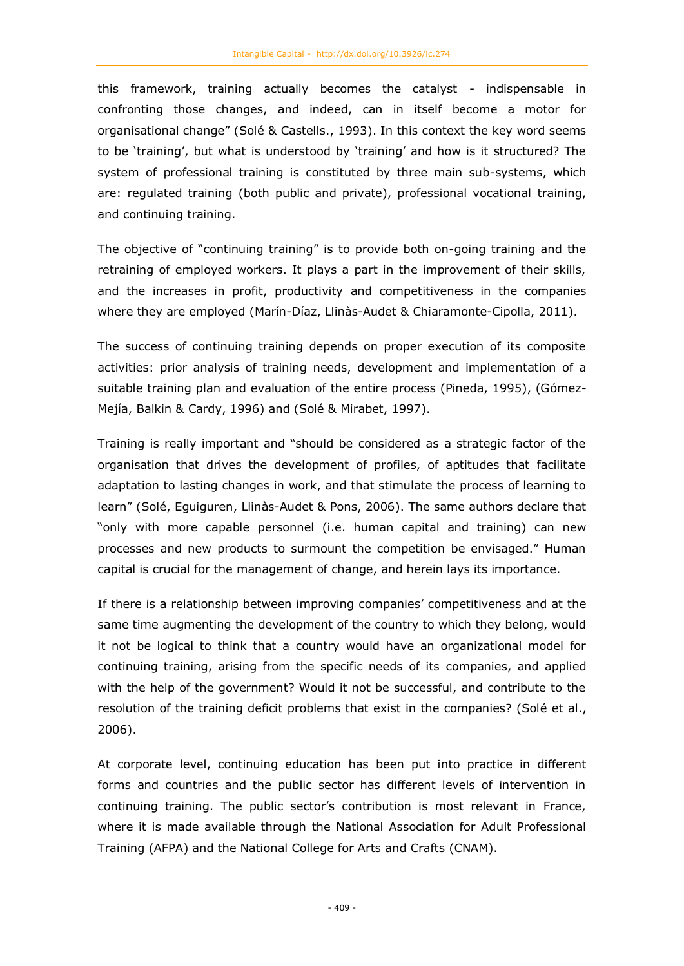this framework, training actually becomes the catalyst - indispensable in confronting those changes, and indeed, can in itself become a motor for organisational change" (Solé & Castells., 1993). In this context the key word seems to be 'training', but what is understood by 'training' and how is it structured? The system of professional training is constituted by three main sub-systems, which are: regulated training (both public and private), professional vocational training, and continuing training.

The objective of "continuing training" is to provide both on-going training and the retraining of employed workers. It plays a part in the improvement of their skills, and the increases in profit, productivity and competitiveness in the companies where they are employed (Marín-Díaz, Llinàs-Audet & Chiaramonte-Cipolla, 2011).

The success of continuing training depends on proper execution of its composite activities: prior analysis of training needs, development and implementation of a suitable training plan and evaluation of the entire process (Pineda, 1995), (Gómez-Mejía, Balkin & Cardy, 1996) and (Solé & Mirabet, 1997).

Training is really important and "should be considered as a strategic factor of the organisation that drives the development of profiles, of aptitudes that facilitate adaptation to lasting changes in work, and that stimulate the process of learning to learn" (Solé, Eguiguren, Llinàs-Audet & Pons, 2006). The same authors declare that "only with more capable personnel (i.e. human capital and training) can new processes and new products to surmount the competition be envisaged." Human capital is crucial for the management of change, and herein lays its importance.

If there is a relationship between improving companies' competitiveness and at the same time augmenting the development of the country to which they belong, would it not be logical to think that a country would have an organizational model for continuing training, arising from the specific needs of its companies, and applied with the help of the government? Would it not be successful, and contribute to the resolution of the training deficit problems that exist in the companies? (Solé et al., 2006).

At corporate level, continuing education has been put into practice in different forms and countries and the public sector has different levels of intervention in continuing training. The public sector's contribution is most relevant in France, where it is made available through the National Association for Adult Professional Training (AFPA) and the National College for Arts and Crafts (CNAM).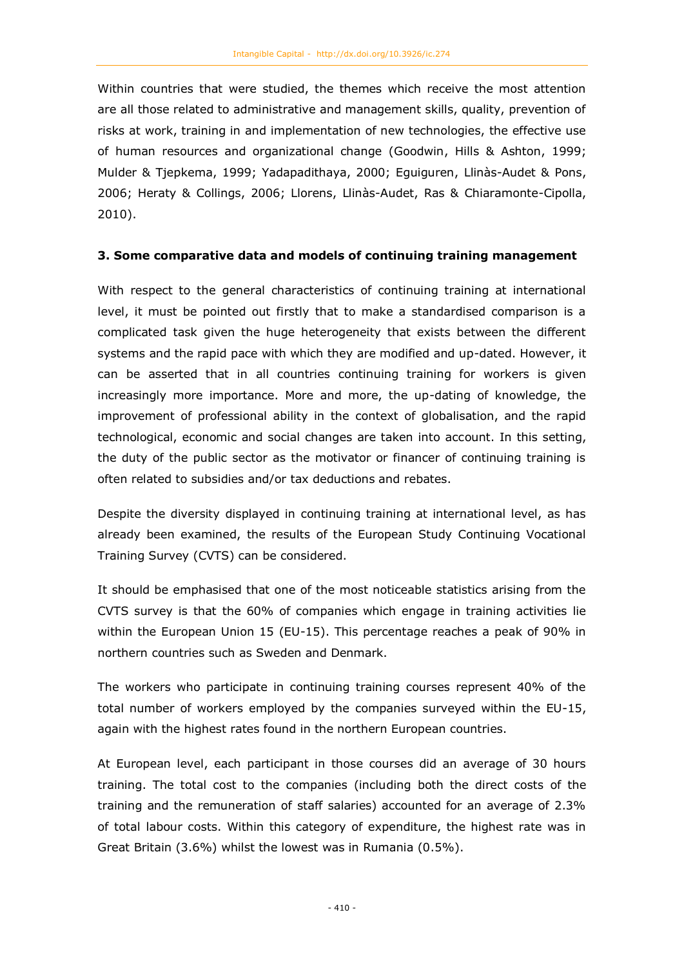Within countries that were studied, the themes which receive the most attention are all those related to administrative and management skills, quality, prevention of risks at work, training in and implementation of new technologies, the effective use of human resources and organizational change (Goodwin, Hills & Ashton, 1999; Mulder & Tjepkema, 1999; Yadapadithaya, 2000; Eguiguren, Llinàs-Audet & Pons, 2006; Heraty & Collings, 2006; Llorens, Llinàs-Audet, Ras & Chiaramonte-Cipolla, 2010).

## **3. Some comparative data and models of continuing training management**

With respect to the general characteristics of continuing training at international level, it must be pointed out firstly that to make a standardised comparison is a complicated task given the huge heterogeneity that exists between the different systems and the rapid pace with which they are modified and up-dated. However, it can be asserted that in all countries continuing training for workers is given increasingly more importance. More and more, the up-dating of knowledge, the improvement of professional ability in the context of globalisation, and the rapid technological, economic and social changes are taken into account. In this setting, the duty of the public sector as the motivator or financer of continuing training is often related to subsidies and/or tax deductions and rebates.

Despite the diversity displayed in continuing training at international level, as has already been examined, the results of the European Study Continuing Vocational Training Survey (CVTS) can be considered.

It should be emphasised that one of the most noticeable statistics arising from the CVTS survey is that the 60% of companies which engage in training activities lie within the European Union 15 (EU-15). This percentage reaches a peak of 90% in northern countries such as Sweden and Denmark.

The workers who participate in continuing training courses represent 40% of the total number of workers employed by the companies surveyed within the EU-15, again with the highest rates found in the northern European countries.

At European level, each participant in those courses did an average of 30 hours training. The total cost to the companies (including both the direct costs of the training and the remuneration of staff salaries) accounted for an average of 2.3% of total labour costs. Within this category of expenditure, the highest rate was in Great Britain (3.6%) whilst the lowest was in Rumania (0.5%).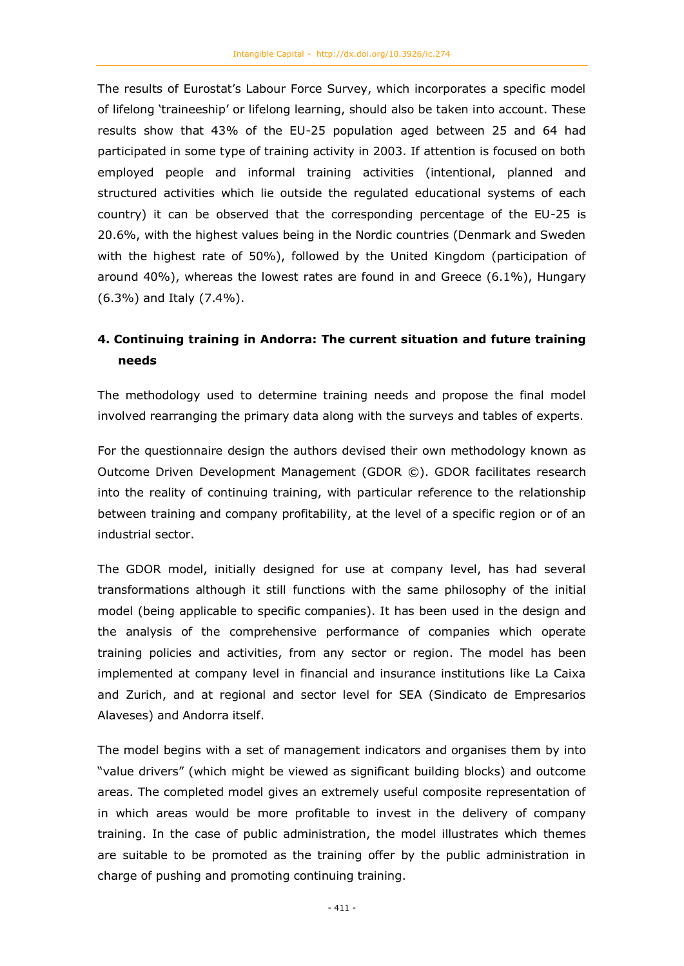The results of Eurostat's Labour Force Survey, which incorporates a specific model of lifelong 'traineeship' or lifelong learning, should also be taken into account. These results show that 43% of the EU-25 population aged between 25 and 64 had participated in some type of training activity in 2003. If attention is focused on both employed people and informal training activities (intentional, planned and structured activities which lie outside the regulated educational systems of each country) it can be observed that the corresponding percentage of the EU-25 is 20.6%, with the highest values being in the Nordic countries (Denmark and Sweden with the highest rate of 50%), followed by the United Kingdom (participation of around 40%), whereas the lowest rates are found in and Greece (6.1%), Hungary (6.3%) and Italy (7.4%).

# **4. Continuing training in Andorra: The current situation and future training needs**

The methodology used to determine training needs and propose the final model involved rearranging the primary data along with the surveys and tables of experts.

For the questionnaire design the authors devised their own methodology known as Outcome Driven Development Management (GDOR ©). GDOR facilitates research into the reality of continuing training, with particular reference to the relationship between training and company profitability, at the level of a specific region or of an industrial sector.

The GDOR model, initially designed for use at company level, has had several transformations although it still functions with the same philosophy of the initial model (being applicable to specific companies). It has been used in the design and the analysis of the comprehensive performance of companies which operate training policies and activities, from any sector or region. The model has been implemented at company level in financial and insurance institutions like La Caixa and Zurich, and at regional and sector level for SEA (Sindicato de Empresarios Alaveses) and Andorra itself.

The model begins with a set of management indicators and organises them by into "value drivers" (which might be viewed as significant building blocks) and outcome areas. The completed model gives an extremely useful composite representation of in which areas would be more profitable to invest in the delivery of company training. In the case of public administration, the model illustrates which themes are suitable to be promoted as the training offer by the public administration in charge of pushing and promoting continuing training.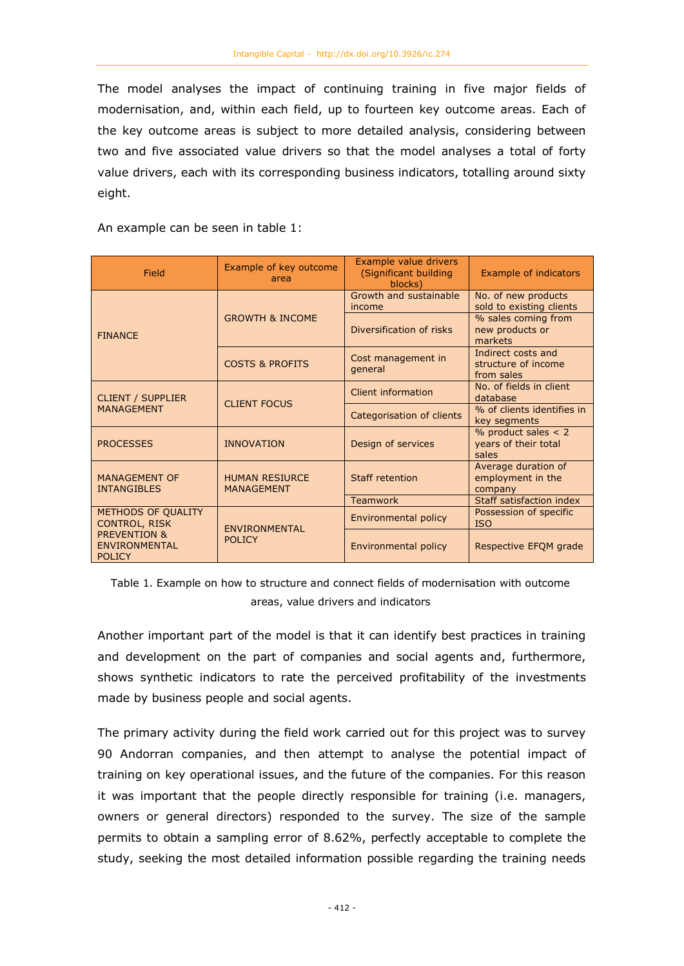The model analyses the impact of continuing training in five major fields of modernisation, and, within each field, up to fourteen key outcome areas. Each of the key outcome areas is subject to more detailed analysis, considering between two and five associated value drivers so that the model analyses a total of forty value drivers, each with its corresponding business indicators, totalling around sixty eight.

An example can be seen in table 1:

| Field                                                                                    | Example of key outcome<br>area | Example value drivers<br>(Significant building<br>blocks) | <b>Example of indicators</b>                            |
|------------------------------------------------------------------------------------------|--------------------------------|-----------------------------------------------------------|---------------------------------------------------------|
|                                                                                          |                                | Growth and sustainable<br>income                          | No. of new products<br>sold to existing clients         |
| <b>FINANCE</b>                                                                           | <b>GROWTH &amp; INCOME</b>     | Diversification of risks                                  | % sales coming from<br>new products or<br>markets       |
|                                                                                          | <b>COSTS &amp; PROFITS</b>     | Cost management in<br>general                             | Indirect costs and<br>structure of income<br>from sales |
| <b>CLIENT / SUPPLIER</b><br><b>MANAGEMENT</b>                                            | <b>CLIENT FOCUS</b>            | Client information                                        | No. of fields in client<br>database                     |
|                                                                                          |                                | Categorisation of clients                                 | % of clients identifies in<br>key segments              |
| <b>PROCESSES</b>                                                                         | <b>INNOVATION</b>              | Design of services                                        | % product sales $<$ 2<br>years of their total<br>sales  |
| <b>MANAGEMENT OF</b><br><b>HUMAN RESIURCE</b><br><b>INTANGIBLES</b><br><b>MANAGEMENT</b> |                                | <b>Staff retention</b>                                    | Average duration of<br>employment in the<br>company     |
|                                                                                          |                                | <b>Teamwork</b>                                           | Staff satisfaction index                                |
| METHODS OF QUALITY<br><b>CONTROL, RISK</b>                                               | ENVIRONMENTAL<br><b>POLICY</b> | Environmental policy                                      | Possession of specific<br><b>ISO</b>                    |
| <b>PREVENTION &amp;</b><br><b>ENVIRONMENTAL</b><br><b>POLICY</b>                         |                                | Environmental policy                                      | Respective EFQM grade                                   |

Table 1. Example on how to structure and connect fields of modernisation with outcome areas, value drivers and indicators

Another important part of the model is that it can identify best practices in training and development on the part of companies and social agents and, furthermore, shows synthetic indicators to rate the perceived profitability of the investments made by business people and social agents.

The primary activity during the field work carried out for this project was to survey 90 Andorran companies, and then attempt to analyse the potential impact of training on key operational issues, and the future of the companies. For this reason it was important that the people directly responsible for training (i.e. managers, owners or general directors) responded to the survey. The size of the sample permits to obtain a sampling error of 8.62%, perfectly acceptable to complete the study, seeking the most detailed information possible regarding the training needs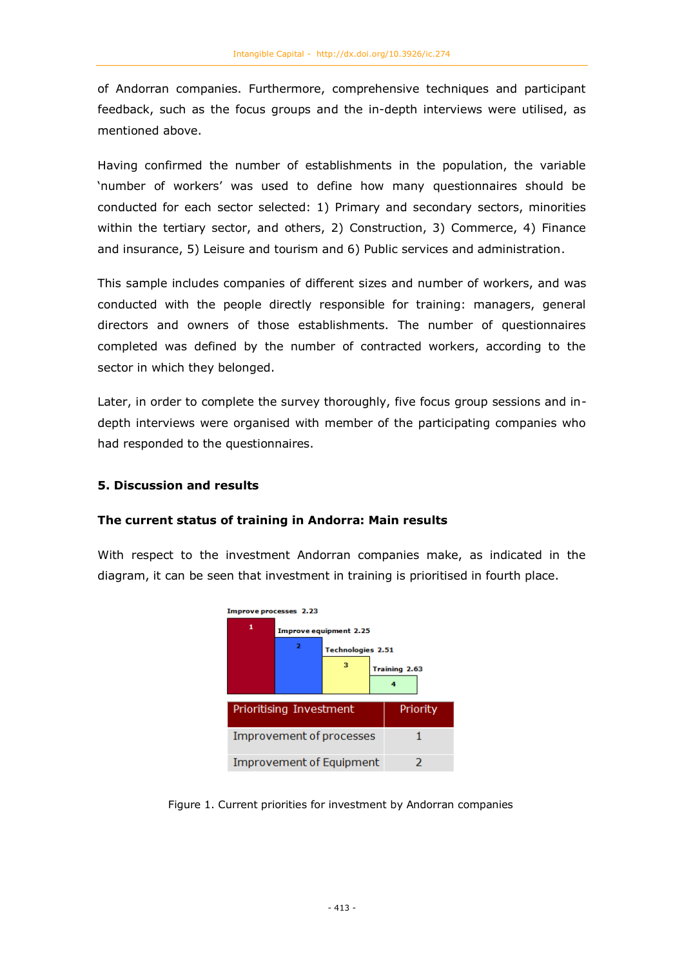of Andorran companies. Furthermore, comprehensive techniques and participant feedback, such as the focus groups and the in-depth interviews were utilised, as mentioned above.

Having confirmed the number of establishments in the population, the variable 'number of workers' was used to define how many questionnaires should be conducted for each sector selected: 1) Primary and secondary sectors, minorities within the tertiary sector, and others, 2) Construction, 3) Commerce, 4) Finance and insurance, 5) Leisure and tourism and 6) Public services and administration.

This sample includes companies of different sizes and number of workers, and was conducted with the people directly responsible for training: managers, general directors and owners of those establishments. The number of questionnaires completed was defined by the number of contracted workers, according to the sector in which they belonged.

Later, in order to complete the survey thoroughly, five focus group sessions and indepth interviews were organised with member of the participating companies who had responded to the questionnaires.

## **5. Discussion and results**

#### **The current status of training in Andorra: Main results**

With respect to the investment Andorran companies make, as indicated in the diagram, it can be seen that investment in training is prioritised in fourth place.



Figure 1. Current priorities for investment by Andorran companies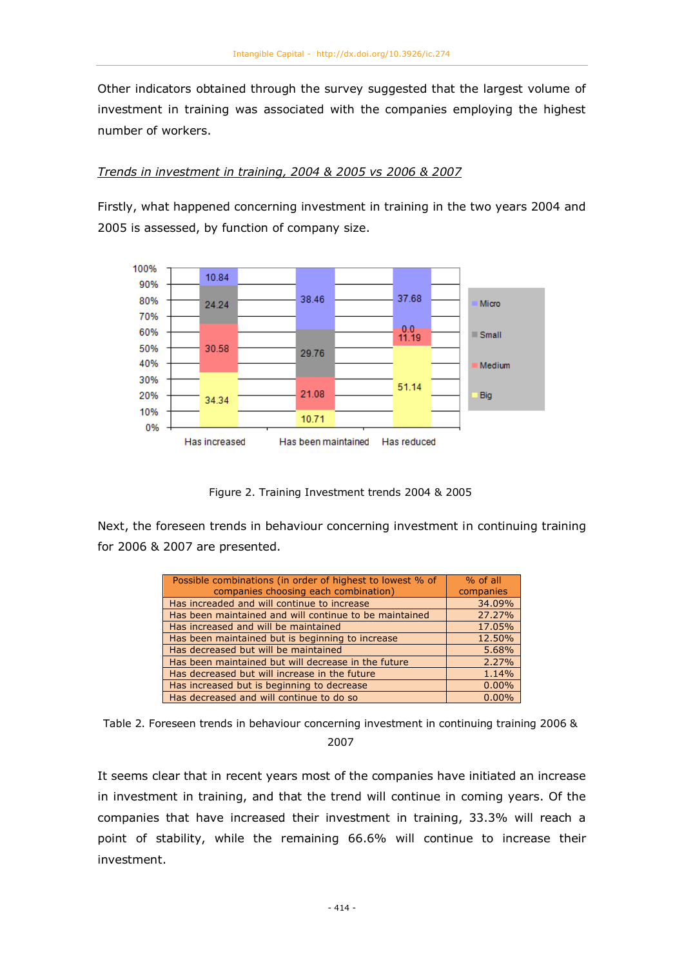Other indicators obtained through the survey suggested that the largest volume of investment in training was associated with the companies employing the highest number of workers.

## *Trends in investment in training, 2004 & 2005 vs 2006 & 2007*

Firstly, what happened concerning investment in training in the two years 2004 and 2005 is assessed, by function of company size.



Figure 2. Training Investment trends 2004 & 2005

Next, the foreseen trends in behaviour concerning investment in continuing training for 2006 & 2007 are presented.

| Possible combinations (in order of highest to lowest % of | $%$ of all |
|-----------------------------------------------------------|------------|
| companies choosing each combination)                      | companies  |
| Has increaded and will continue to increase               | 34.09%     |
| Has been maintained and will continue to be maintained    | 27.27%     |
| Has increased and will be maintained                      | 17.05%     |
| Has been maintained but is beginning to increase          | 12.50%     |
| Has decreased but will be maintained                      | 5.68%      |
| Has been maintained but will decrease in the future       | 2.27%      |
| Has decreased but will increase in the future             | 1.14%      |
| Has increased but is beginning to decrease                | 0.00%      |
| Has decreased and will continue to do so                  | 0.00%      |

Table 2. Foreseen trends in behaviour concerning investment in continuing training 2006 & 2007

It seems clear that in recent years most of the companies have initiated an increase in investment in training, and that the trend will continue in coming years. Of the companies that have increased their investment in training, 33.3% will reach a point of stability, while the remaining 66.6% will continue to increase their investment.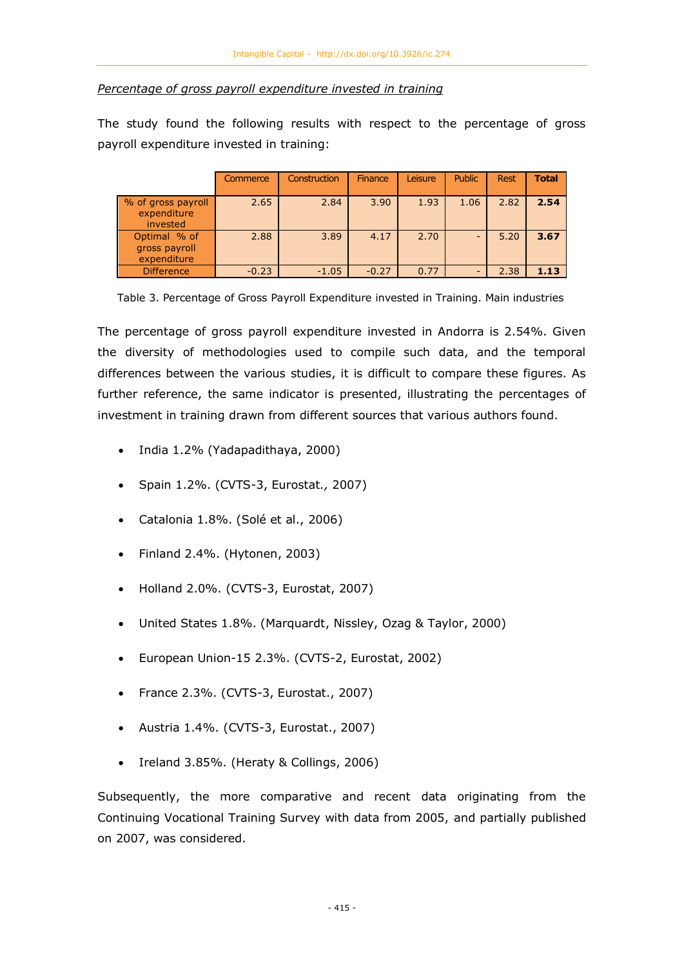## *Percentage of gross payroll expenditure invested in training*

The study found the following results with respect to the percentage of gross payroll expenditure invested in training:

|                                               | Commerce | Construction | Finance | Leisure | <b>Public</b> | <b>Rest</b> | Total |
|-----------------------------------------------|----------|--------------|---------|---------|---------------|-------------|-------|
| % of gross payroll<br>expenditure<br>invested | 2.65     | 2.84         | 3.90    | 1.93    | 1.06          | 2.82        | 2.54  |
| Optimal % of<br>gross payroll<br>expenditure  | 2.88     | 3.89         | 4.17    | 2.70    |               | 5.20        | 3.67  |
| <b>Difference</b>                             | $-0.23$  | $-1.05$      | $-0.27$ | 0.77    |               | 2.38        | 1.13  |

Table 3. Percentage of Gross Payroll Expenditure invested in Training. Main industries

The percentage of gross payroll expenditure invested in Andorra is 2.54%. Given the diversity of methodologies used to compile such data, and the temporal differences between the various studies, it is difficult to compare these figures. As further reference, the same indicator is presented, illustrating the percentages of investment in training drawn from different sources that various authors found.

- India 1.2% (Yadapadithaya, 2000)
- Spain 1.2%. (CVTS-3, Eurostat*.,* 2007)
- Catalonia 1.8%. (Solé et al., 2006)
- Finland 2.4%. (Hytonen, 2003)
- Holland 2.0%. (CVTS-3, Eurostat, 2007)
- United States 1.8%. (Marquardt, Nissley, Ozag & Taylor, 2000)
- European Union-15 2.3%. (CVTS-2, Eurostat, 2002)
- France 2.3%. (CVTS-3, Eurostat., 2007)
- Austria 1.4%. (CVTS-3, Eurostat., 2007)
- Ireland 3.85%. (Heraty & Collings, 2006)

Subsequently, the more comparative and recent data originating from the Continuing Vocational Training Survey with data from 2005, and partially published on 2007, was considered.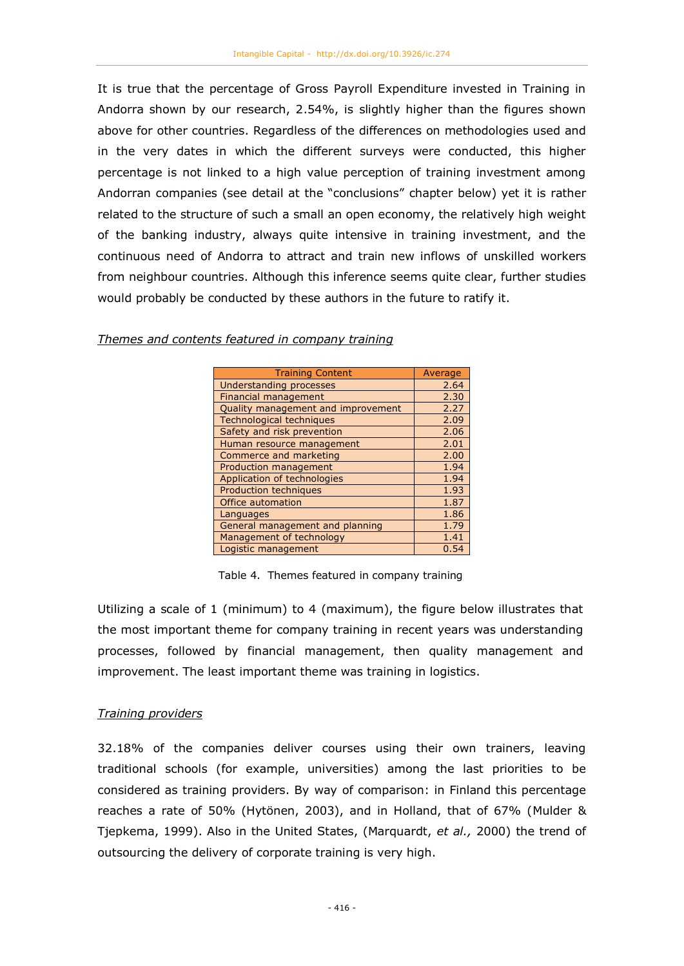It is true that the percentage of Gross Payroll Expenditure invested in Training in Andorra shown by our research, 2.54%, is slightly higher than the figures shown above for other countries. Regardless of the differences on methodologies used and in the very dates in which the different surveys were conducted, this higher percentage is not linked to a high value perception of training investment among Andorran companies (see detail at the "conclusions" chapter below) yet it is rather related to the structure of such a small an open economy, the relatively high weight of the banking industry, always quite intensive in training investment, and the continuous need of Andorra to attract and train new inflows of unskilled workers from neighbour countries. Although this inference seems quite clear, further studies would probably be conducted by these authors in the future to ratify it.

| <b>Training Content</b>            | Average |
|------------------------------------|---------|
| <b>Understanding processes</b>     | 2.64    |
| <b>Financial management</b>        | 2.30    |
| Quality management and improvement | 2.27    |
| <b>Technological techniques</b>    | 2.09    |
| Safety and risk prevention         | 2.06    |
| Human resource management          | 2.01    |
| Commerce and marketing             | 2.00    |
| <b>Production management</b>       | 1.94    |
| Application of technologies        | 1.94    |
| <b>Production techniques</b>       | 1.93    |
| Office automation                  | 1.87    |
| Languages                          | 1.86    |
| General management and planning    | 1.79    |
| Management of technology           | 1.41    |
| Logistic management                | 0.54    |

*Themes and contents featured in company training*

Table 4. Themes featured in company training

Utilizing a scale of 1 (minimum) to 4 (maximum), the figure below illustrates that the most important theme for company training in recent years was understanding processes, followed by financial management, then quality management and improvement. The least important theme was training in logistics.

# *Training providers*

32.18% of the companies deliver courses using their own trainers, leaving traditional schools (for example, universities) among the last priorities to be considered as training providers. By way of comparison: in Finland this percentage reaches a rate of 50% (Hytönen, 2003), and in Holland, that of 67% (Mulder & Tjepkema, 1999). Also in the United States, (Marquardt, *et al.,* 2000) the trend of outsourcing the delivery of corporate training is very high.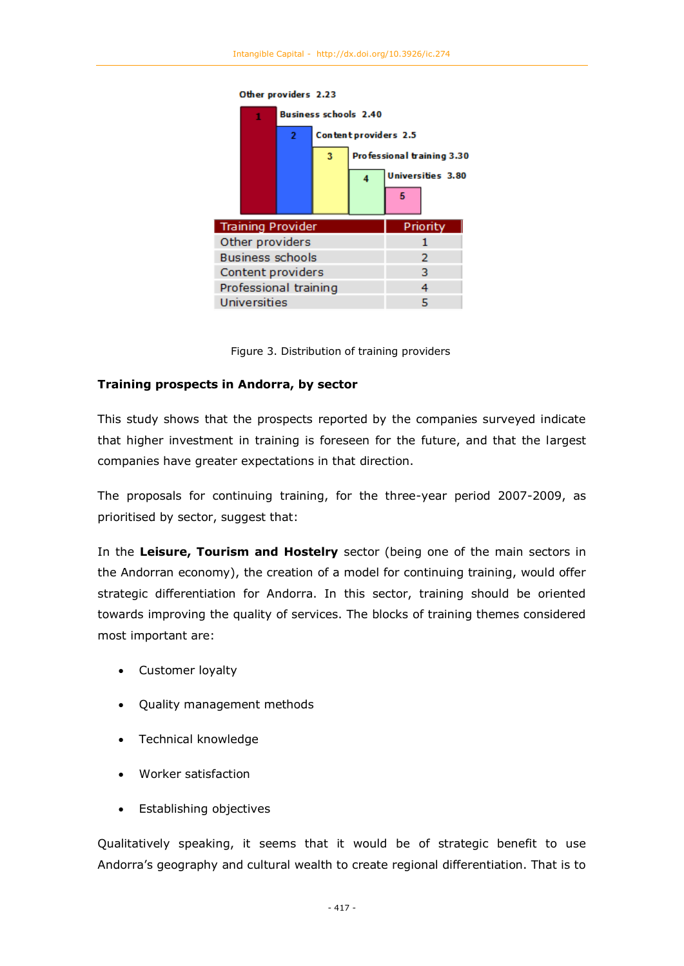

Figure 3. Distribution of training providers

## **Training prospects in Andorra, by sector**

This study shows that the prospects reported by the companies surveyed indicate that higher investment in training is foreseen for the future, and that the largest companies have greater expectations in that direction.

The proposals for continuing training, for the three-year period 2007-2009, as prioritised by sector, suggest that:

In the **Leisure, Tourism and Hostelry** sector (being one of the main sectors in the Andorran economy), the creation of a model for continuing training, would offer strategic differentiation for Andorra. In this sector, training should be oriented towards improving the quality of services. The blocks of training themes considered most important are:

- Customer loyalty
- Quality management methods
- Technical knowledge
- Worker satisfaction
- Establishing objectives

Qualitatively speaking, it seems that it would be of strategic benefit to use Andorra's geography and cultural wealth to create regional differentiation. That is to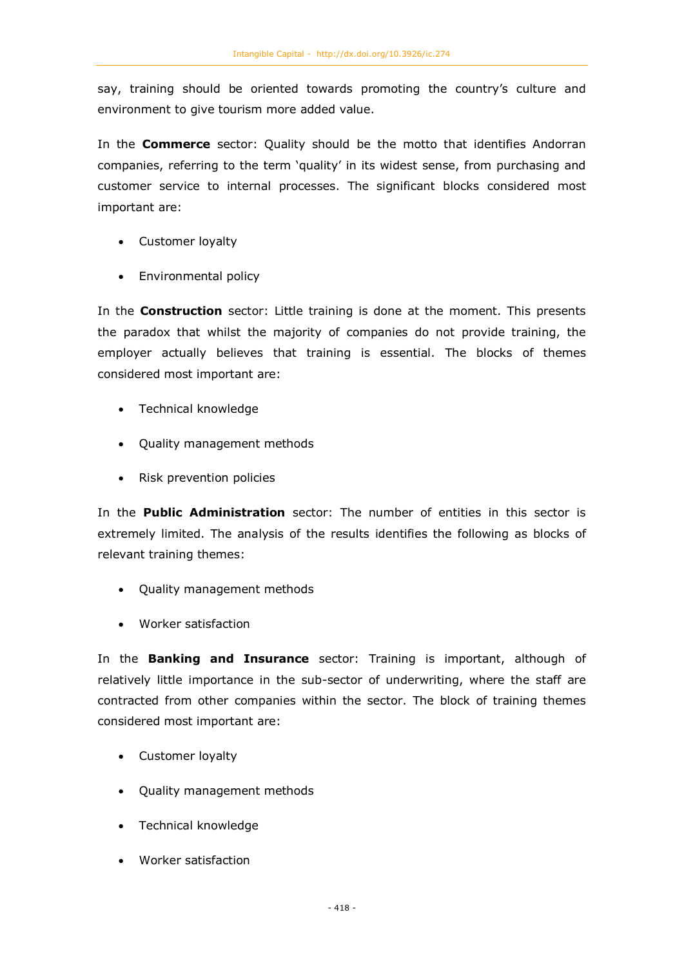say, training should be oriented towards promoting the country's culture and environment to give tourism more added value.

In the **Commerce** sector: Quality should be the motto that identifies Andorran companies, referring to the term 'quality' in its widest sense, from purchasing and customer service to internal processes. The significant blocks considered most important are:

- Customer loyalty
- Environmental policy

In the **Construction** sector: Little training is done at the moment. This presents the paradox that whilst the majority of companies do not provide training, the employer actually believes that training is essential. The blocks of themes considered most important are:

- Technical knowledge
- Quality management methods
- Risk prevention policies

In the **Public Administration** sector: The number of entities in this sector is extremely limited. The analysis of the results identifies the following as blocks of relevant training themes:

- Quality management methods
- Worker satisfaction

In the **Banking and Insurance** sector: Training is important, although of relatively little importance in the sub-sector of underwriting, where the staff are contracted from other companies within the sector. The block of training themes considered most important are:

- Customer loyalty
- Quality management methods
- Technical knowledge
- Worker satisfaction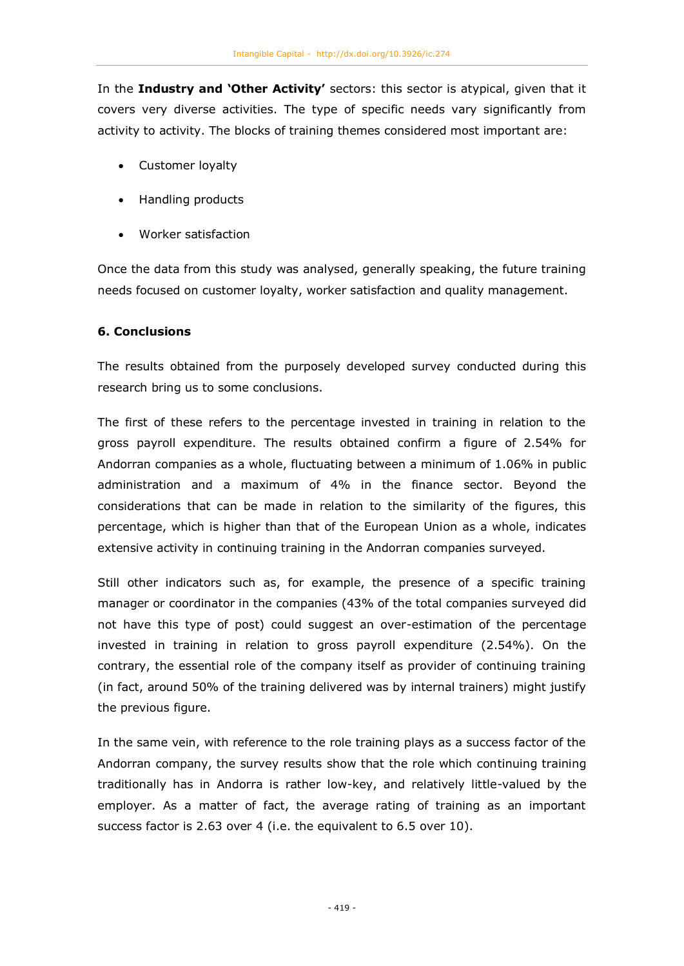In the **Industry and 'Other Activity'** sectors: this sector is atypical, given that it covers very diverse activities. The type of specific needs vary significantly from activity to activity. The blocks of training themes considered most important are:

- Customer loyalty
- Handling products
- Worker satisfaction

Once the data from this study was analysed, generally speaking, the future training needs focused on customer loyalty, worker satisfaction and quality management.

## **6. Conclusions**

The results obtained from the purposely developed survey conducted during this research bring us to some conclusions.

The first of these refers to the percentage invested in training in relation to the gross payroll expenditure. The results obtained confirm a figure of 2.54% for Andorran companies as a whole, fluctuating between a minimum of 1.06% in public administration and a maximum of 4% in the finance sector. Beyond the considerations that can be made in relation to the similarity of the figures, this percentage, which is higher than that of the European Union as a whole, indicates extensive activity in continuing training in the Andorran companies surveyed.

Still other indicators such as, for example, the presence of a specific training manager or coordinator in the companies (43% of the total companies surveyed did not have this type of post) could suggest an over-estimation of the percentage invested in training in relation to gross payroll expenditure (2.54%). On the contrary, the essential role of the company itself as provider of continuing training (in fact, around 50% of the training delivered was by internal trainers) might justify the previous figure.

In the same vein, with reference to the role training plays as a success factor of the Andorran company, the survey results show that the role which continuing training traditionally has in Andorra is rather low-key, and relatively little-valued by the employer. As a matter of fact, the average rating of training as an important success factor is 2.63 over 4 (i.e. the equivalent to 6.5 over 10).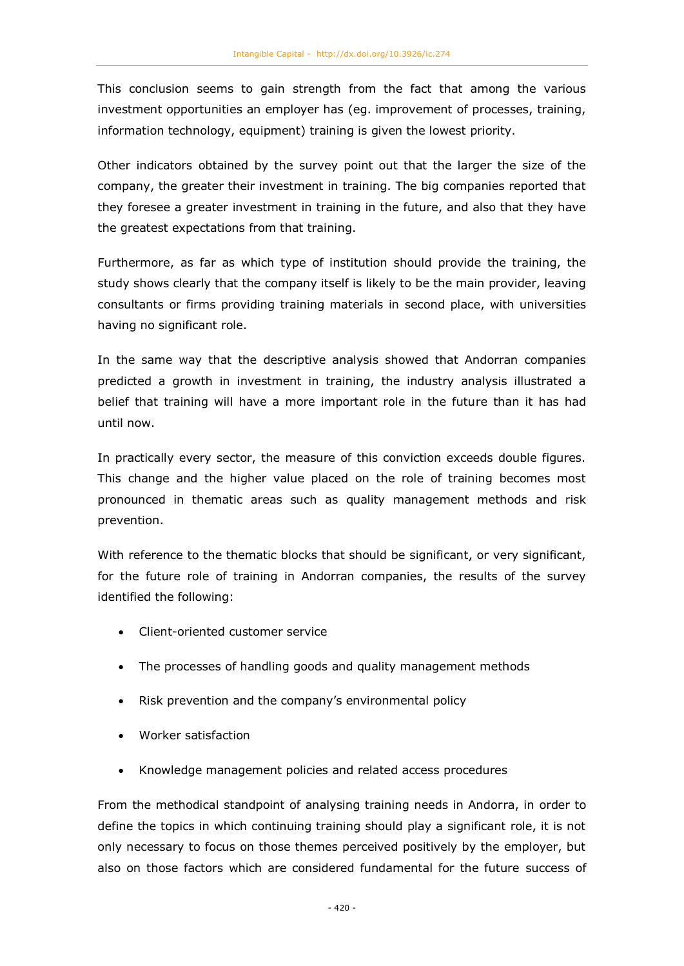This conclusion seems to gain strength from the fact that among the various investment opportunities an employer has (eg. improvement of processes, training, information technology, equipment) training is given the lowest priority.

Other indicators obtained by the survey point out that the larger the size of the company, the greater their investment in training. The big companies reported that they foresee a greater investment in training in the future, and also that they have the greatest expectations from that training.

Furthermore, as far as which type of institution should provide the training, the study shows clearly that the company itself is likely to be the main provider, leaving consultants or firms providing training materials in second place, with universities having no significant role.

In the same way that the descriptive analysis showed that Andorran companies predicted a growth in investment in training, the industry analysis illustrated a belief that training will have a more important role in the future than it has had until now.

In practically every sector, the measure of this conviction exceeds double figures. This change and the higher value placed on the role of training becomes most pronounced in thematic areas such as quality management methods and risk prevention.

With reference to the thematic blocks that should be significant, or very significant, for the future role of training in Andorran companies, the results of the survey identified the following:

- Client-oriented customer service
- The processes of handling goods and quality management methods
- Risk prevention and the company's environmental policy
- Worker satisfaction
- Knowledge management policies and related access procedures

From the methodical standpoint of analysing training needs in Andorra, in order to define the topics in which continuing training should play a significant role, it is not only necessary to focus on those themes perceived positively by the employer, but also on those factors which are considered fundamental for the future success of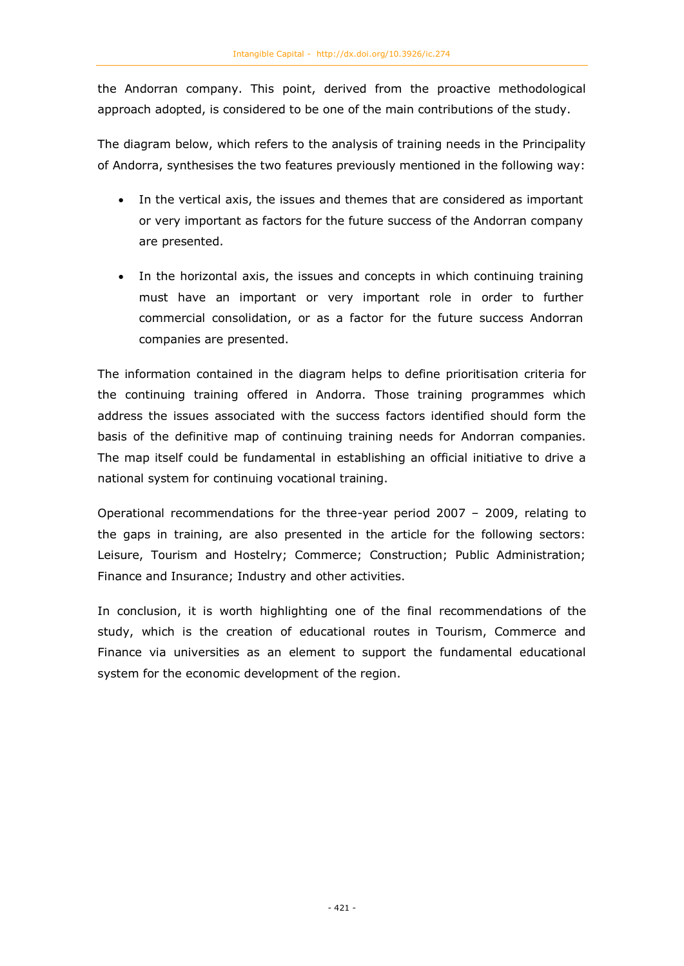the Andorran company. This point, derived from the proactive methodological approach adopted, is considered to be one of the main contributions of the study.

The diagram below, which refers to the analysis of training needs in the Principality of Andorra, synthesises the two features previously mentioned in the following way:

- In the vertical axis, the issues and themes that are considered as important or very important as factors for the future success of the Andorran company are presented.
- In the horizontal axis, the issues and concepts in which continuing training must have an important or very important role in order to further commercial consolidation, or as a factor for the future success Andorran companies are presented.

The information contained in the diagram helps to define prioritisation criteria for the continuing training offered in Andorra. Those training programmes which address the issues associated with the success factors identified should form the basis of the definitive map of continuing training needs for Andorran companies. The map itself could be fundamental in establishing an official initiative to drive a national system for continuing vocational training.

Operational recommendations for the three-year period 2007 – 2009, relating to the gaps in training, are also presented in the article for the following sectors: Leisure, Tourism and Hostelry; Commerce; Construction; Public Administration; Finance and Insurance; Industry and other activities.

In conclusion, it is worth highlighting one of the final recommendations of the study, which is the creation of educational routes in Tourism, Commerce and Finance via universities as an element to support the fundamental educational system for the economic development of the region.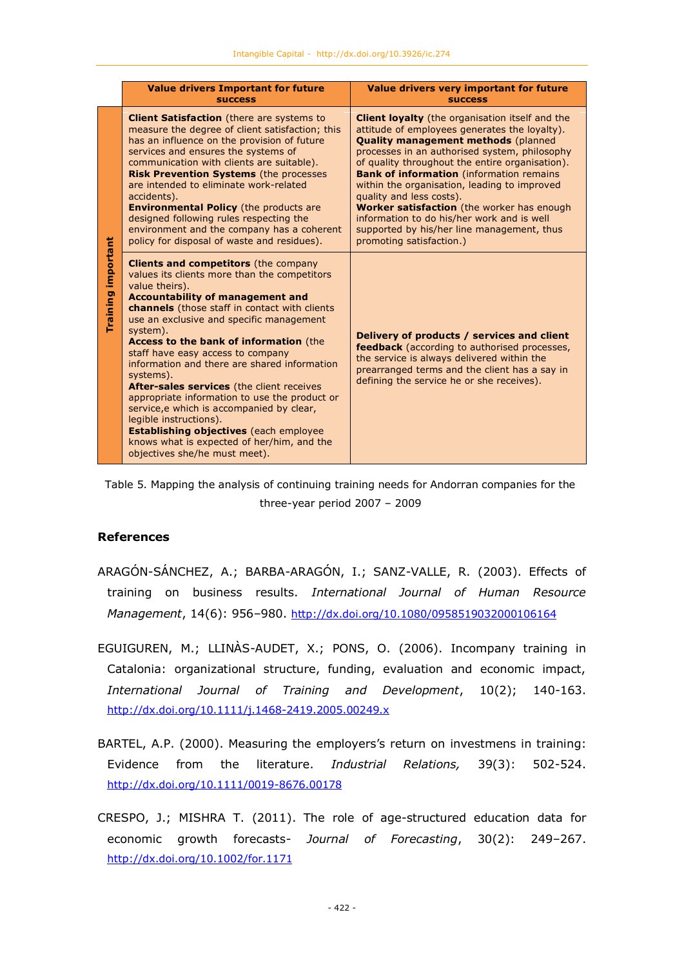|                       | <b>Value drivers Important for future</b><br><b>SUCCESS</b>                                                                                                                                                                                                                                                                                                                                                                                                                                                                                                                                                                                                                                                                      | Value drivers very important for future<br><b>SUCCESS</b>                                                                                                                                                                                                                                                                                                                                                                                                                                                                                                      |
|-----------------------|----------------------------------------------------------------------------------------------------------------------------------------------------------------------------------------------------------------------------------------------------------------------------------------------------------------------------------------------------------------------------------------------------------------------------------------------------------------------------------------------------------------------------------------------------------------------------------------------------------------------------------------------------------------------------------------------------------------------------------|----------------------------------------------------------------------------------------------------------------------------------------------------------------------------------------------------------------------------------------------------------------------------------------------------------------------------------------------------------------------------------------------------------------------------------------------------------------------------------------------------------------------------------------------------------------|
|                       | <b>Client Satisfaction</b> (there are systems to<br>measure the degree of client satisfaction; this<br>has an influence on the provision of future<br>services and ensures the systems of<br>communication with clients are suitable).<br><b>Risk Prevention Systems (the processes)</b><br>are intended to eliminate work-related<br>accidents).<br><b>Environmental Policy</b> (the products are<br>designed following rules respecting the<br>environment and the company has a coherent<br>policy for disposal of waste and residues).                                                                                                                                                                                       | <b>Client loyalty</b> (the organisation itself and the<br>attitude of employees generates the loyalty).<br><b>Quality management methods (planned</b><br>processes in an authorised system, philosophy<br>of quality throughout the entire organisation).<br><b>Bank of information</b> (information remains<br>within the organisation, leading to improved<br>quality and less costs).<br>Worker satisfaction (the worker has enough<br>information to do his/her work and is well<br>supported by his/her line management, thus<br>promoting satisfaction.) |
| important<br>Training | <b>Clients and competitors</b> (the company<br>values its clients more than the competitors<br>value theirs).<br><b>Accountability of management and</b><br><b>channels</b> (those staff in contact with clients<br>use an exclusive and specific management<br>system).<br><b>Access to the bank of information (the</b><br>staff have easy access to company<br>information and there are shared information<br>systems).<br>After-sales services (the client receives<br>appropriate information to use the product or<br>service, e which is accompanied by clear,<br>legible instructions).<br><b>Establishing objectives</b> (each employee<br>knows what is expected of her/him, and the<br>objectives she/he must meet). | Delivery of products / services and client<br><b>feedback</b> (according to authorised processes,<br>the service is always delivered within the<br>prearranged terms and the client has a say in<br>defining the service he or she receives).                                                                                                                                                                                                                                                                                                                  |

Table 5. Mapping the analysis of continuing training needs for Andorran companies for the three-year period 2007 – 2009

#### **References**

- ARAGÓN-SÁNCHEZ, A.; BARBA-ARAGÓN, I.; SANZ-VALLE, R. (2003). Effects of training on business results. *International Journal of Human Resource Management*, 14(6): 956–980. <http://dx.doi.org/10.1080/0958519032000106164>
- EGUIGUREN, M.; LLINÀS-AUDET, X.; PONS, O. (2006). Incompany training in Catalonia: organizational structure, funding, evaluation and economic impact, *International Journal of Training and Development*, 10(2); 140-163. <http://dx.doi.org/10.1111/j.1468-2419.2005.00249.x>
- BARTEL, A.P. (2000). Measuring the employers's return on investmens in training: Evidence from the literature. *Industrial Relations,* 39(3): 502-524. <http://dx.doi.org/10.1111/0019-8676.00178>
- CRESPO, J.; MISHRA T. (2011). The role of age-structured education data for economic growth forecasts- *Journal of Forecasting*, 30(2): 249–267. <http://dx.doi.org/10.1002/for.1171>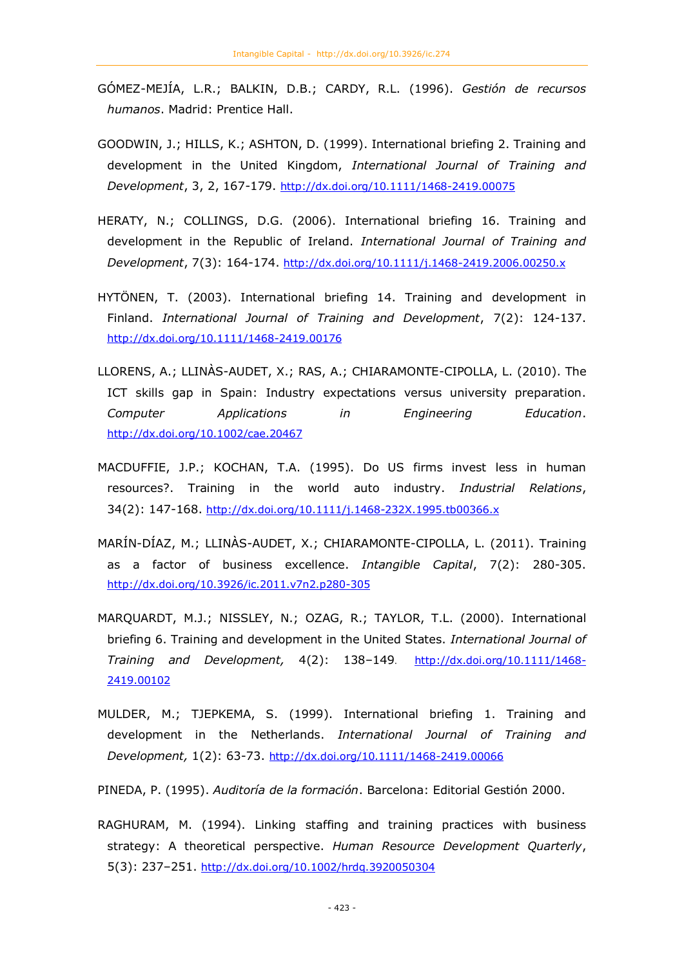- GÓMEZ-MEJÍA, L.R.; BALKIN, D.B.; CARDY, R.L. (1996). *Gestión de recursos humanos*. Madrid: Prentice Hall.
- GOODWIN, J.; HILLS, K.; ASHTON, D. (1999). International briefing 2. Training and development in the United Kingdom, *International Journal of Training and Development*, 3, 2, 167-179. <http://dx.doi.org/10.1111/1468-2419.00075>
- HERATY, N.; COLLINGS, D.G. (2006). International briefing 16. Training and development in the Republic of Ireland. *International Journal of Training and Development*, 7(3): 164-174. <http://dx.doi.org/10.1111/j.1468-2419.2006.00250.x>
- HYTÖNEN, T. (2003). International briefing 14. Training and development in Finland. *International Journal of Training and Development*, 7(2): 124-137. <http://dx.doi.org/10.1111/1468-2419.00176>
- LLORENS, A.; LLINÀS-AUDET, X.; RAS, A.; CHIARAMONTE-CIPOLLA, L. (2010). The ICT skills gap in Spain: Industry expectations versus university preparation. *Computer Applications in Engineering Education*. <http://dx.doi.org/10.1002/cae.20467>
- MACDUFFIE, J.P.; KOCHAN, T.A. (1995). Do US firms invest less in human resources?. Training in the world auto industry. *Industrial Relations*, 34(2): 147-168. <http://dx.doi.org/10.1111/j.1468-232X.1995.tb00366.x>
- MARÍN-DÍAZ, M.; LLINÀS-AUDET, X.; CHIARAMONTE-CIPOLLA, L. (2011). Training as a factor of business excellence. *Intangible Capital*, 7(2): 280-305. <http://dx.doi.org/10.3926/ic.2011.v7n2.p280-305>
- MARQUARDT, M.J.; NISSLEY, N.; OZAG, R.; TAYLOR, T.L. (2000). International briefing 6. Training and development in the United States. *International Journal of Training and Development,* 4(2): 138–149. [http://dx.doi.org/10.1111/1468-](http://dx.doi.org/10.1111/1468-2419.00102) [2419.00102](http://dx.doi.org/10.1111/1468-2419.00102)
- MULDER, M.; TJEPKEMA, S. (1999). International briefing 1. Training and development in the Netherlands. *International Journal of Training and Development,* 1(2): 63-73. <http://dx.doi.org/10.1111/1468-2419.00066>

PINEDA, P. (1995). *Auditoría de la formación*. Barcelona: Editorial Gestión 2000.

RAGHURAM, M. (1994). Linking staffing and training practices with business strategy: A theoretical perspective. *Human Resource Development Quarterly*, 5(3): 237–251. <http://dx.doi.org/10.1002/hrdq.3920050304>